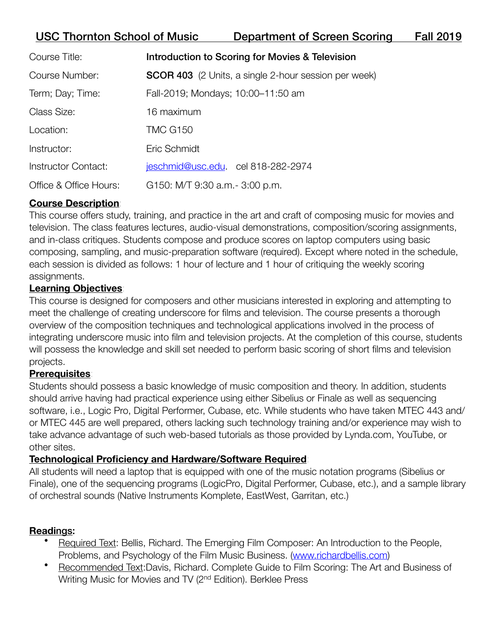# USC Thornton School of Music Department of Screen Scoring Fall 2019

| Course Title:          | Introduction to Scoring for Movies & Television             |
|------------------------|-------------------------------------------------------------|
| <b>Course Number:</b>  | <b>SCOR 403</b> (2 Units, a single 2-hour session per week) |
| Term; Day; Time:       | Fall-2019; Mondays; 10:00-11:50 am                          |
| Class Size:            | 16 maximum                                                  |
| Location:              | <b>TMC G150</b>                                             |
| Instructor:            | Eric Schmidt                                                |
| Instructor Contact:    | jeschmid@usc.edu. cel 818-282-2974                          |
| Office & Office Hours: | G150: M/T 9:30 a.m. - 3:00 p.m.                             |

## **Course Description**:

This course offers study, training, and practice in the art and craft of composing music for movies and television. The class features lectures, audio-visual demonstrations, composition/scoring assignments, and in-class critiques. Students compose and produce scores on laptop computers using basic composing, sampling, and music-preparation software (required). Except where noted in the schedule, each session is divided as follows: 1 hour of lecture and 1 hour of critiquing the weekly scoring assignments.

## **Learning Objectives**:

This course is designed for composers and other musicians interested in exploring and attempting to meet the challenge of creating underscore for films and television. The course presents a thorough overview of the composition techniques and technological applications involved in the process of integrating underscore music into film and television projects. At the completion of this course, students will possess the knowledge and skill set needed to perform basic scoring of short films and television projects.

### **Prerequisites**:

Students should possess a basic knowledge of music composition and theory. In addition, students should arrive having had practical experience using either Sibelius or Finale as well as sequencing software, i.e., Logic Pro, Digital Performer, Cubase, etc. While students who have taken MTEC 443 and/ or MTEC 445 are well prepared, others lacking such technology training and/or experience may wish to take advance advantage of such web-based tutorials as those provided by Lynda.com, YouTube, or other sites.

## **Technological Proficiency and Hardware/Software Required**:

All students will need a laptop that is equipped with one of the music notation programs (Sibelius or Finale), one of the sequencing programs (LogicPro, Digital Performer, Cubase, etc.), and a sample library of orchestral sounds (Native Instruments Komplete, EastWest, Garritan, etc.)

### **Readi**ngs:

- Required Text: Bellis, Richard. The Emerging Film Composer: An Introduction to the People, Problems, and Psychology of the Film Music Business. [\(www.richardbellis.com\)](http://www.richardbellis.com)
- Recommended Text:Davis, Richard. Complete Guide to Film Scoring: The Art and Business of Writing Music for Movies and TV (2nd Edition). Berklee Press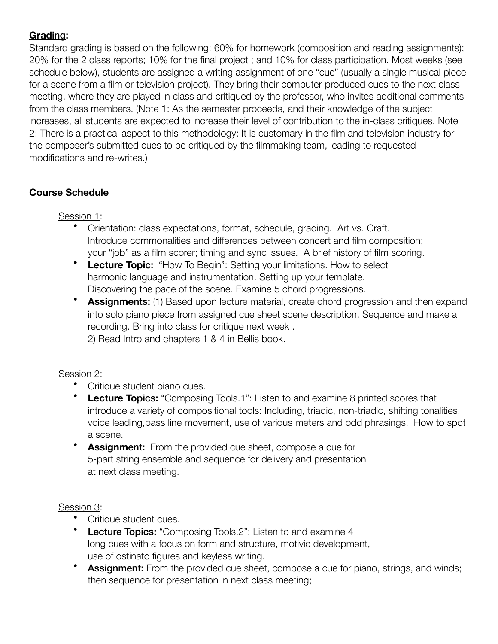## **Grad**ing:

Standard grading is based on the following: 60% for homework (composition and reading assignments); 20% for the 2 class reports; 10% for the final project ; and 10% for class participation. Most weeks (see schedule below), students are assigned a writing assignment of one "cue" (usually a single musical piece for a scene from a film or television project). They bring their computer-produced cues to the next class meeting, where they are played in class and critiqued by the professor, who invites additional comments from the class members. (Note 1: As the semester proceeds, and their knowledge of the subject increases, all students are expected to increase their level of contribution to the in-class critiques. Note 2: There is a practical aspect to this methodology: It is customary in the film and television industry for the composer's submitted cues to be critiqued by the filmmaking team, leading to requested modifications and re-writes.)

## **Course Schedule**:

### Session 1:

- Orientation: class expectations, format, schedule, grading. Art vs. Craft. Introduce commonalities and differences between concert and film composition; your "job" as a film scorer; timing and sync issues. A brief history of film scoring.
- **Lecture Topic:** "How To Begin": Setting your limitations. How to select harmonic language and instrumentation. Setting up your template. Discovering the pace of the scene. Examine 5 chord progressions.
- **Assignments:** (1) Based upon lecture material, create chord progression and then expand into solo piano piece from assigned cue sheet scene description. Sequence and make a recording. Bring into class for critique next week . 2) Read Intro and chapters 1 & 4 in Bellis book.

## Session 2:

- Critique student piano cues.
- **Lecture To**pics: "Composing Tools.1": Listen to and examine 8 printed scores that introduce a variety of compositional tools: Including, triadic, non-triadic, shifting tonalities, voice leading,bass line movement, use of various meters and odd phrasings. How to spot a scene.
- **Assignm**ent: From the provided cue sheet, compose a cue for 5-part string ensemble and sequence for delivery and presentation at next class meeting.

## Session 3:

- Critique student cues.
- **Lecture Topics:** "Composing Tools.2": Listen to and examine 4 long cues with a focus on form and structure, motivic development, use of ostinato figures and keyless writing.
- Assignment: From the provided cue sheet, compose a cue for piano, strings, and winds; then sequence for presentation in next class meeting;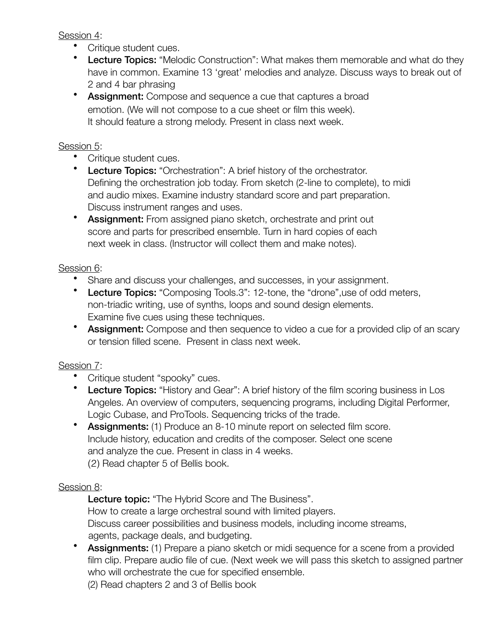Session 4:

- Critique student cues.
- Lecture Topics: "Melodic Construction": What makes them memorable and what do they have in common. Examine 13 'great' melodies and analyze. Discuss ways to break out of 2 and 4 bar phrasing
- Assignment: Compose and sequence a cue that captures a broad emotion. (We will not compose to a cue sheet or film this week). It should feature a strong melody. Present in class next week.

### Session 5:

- Critique student cues.
- **Lecture Topics:** "Orchestration": A brief history of the orchestrator. Defining the orchestration job today. From sketch (2-line to complete), to midi and audio mixes. Examine industry standard score and part preparation. Discuss instrument ranges and uses.
- Assignment: From assigned piano sketch, orchestrate and print out score and parts for prescribed ensemble. Turn in hard copies of each next week in class. (Instructor will collect them and make notes).

### Session 6:

- Share and discuss your challenges, and successes, in your assignment.
- Lecture Topics: "Composing Tools.3": 12-tone, the "drone", use of odd meters, non-triadic writing, use of synths, loops and sound design elements. Examine five cues using these techniques.
- Assignment: Compose and then sequence to video a cue for a provided clip of an scary or tension filled scene. Present in class next week.

### Session 7:

- Critique student "spooky" cues.
- Lecture Topics: "History and Gear": A brief history of the film scoring business in Los Angeles. An overview of computers, sequencing programs, including Digital Performer, Logic Cubase, and ProTools. Sequencing tricks of the trade.
- Assignments: (1) Produce an 8-10 minute report on selected film score. Include history, education and credits of the composer. Select one scene and analyze the cue. Present in class in 4 weeks. (2) Read chapter 5 of Bellis book.

### Session 8:

Lecture topic: "The Hybrid Score and The Business". How to create a large orchestral sound with limited players. Discuss career possibilities and business models, including income streams, agents, package deals, and budgeting.

• Assignments: (1) Prepare a piano sketch or midi sequence for a scene from a provided film clip. Prepare audio file of cue. (Next week we will pass this sketch to assigned partner who will orchestrate the cue for specified ensemble.

 (2) Read chapters 2 and 3 of Bellis book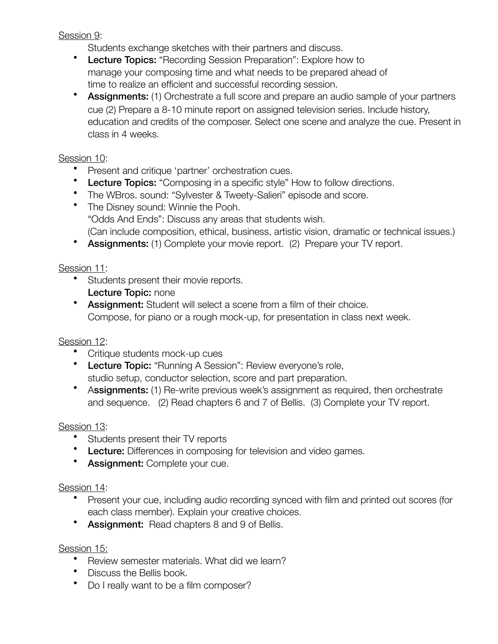### Session 9:

Students exchange sketches with their partners and discuss.

- Lecture Topics: "Recording Session Preparation": Explore how to manage your composing time and what needs to be prepared ahead of time to realize an efficient and successful recording session.
- Assignments: (1) Orchestrate a full score and prepare an audio sample of your partners cue (2) Prepare a 8-10 minute report on assigned television series. Include history, education and credits of the composer. Select one scene and analyze the cue. Present in class in 4 weeks.

## Session 10:

- Present and critique 'partner' orchestration cues.
- Lecture Topics: "Composing in a specific style" How to follow directions.
- The WBros. sound: "Sylvester & Tweety-Salieri" episode and score.
- The Disney sound: Winnie the Pooh. "Odds And Ends": Discuss any areas that students wish. (Can include composition, ethical, business, artistic vision, dramatic or technical issues.)
- Assignments: (1) Complete your movie report. (2) Prepare your TV report.

## Session 11:

- Students present their movie reports. Lecture Topic: none
- Assignment: Student will select a scene from a film of their choice. Compose, for piano or a rough mock-up, for presentation in class next week.

## Session 12:

- Critique students mock-up cues
- Lecture Topic: "Running A Session": Review everyone's role, studio setup, conductor selection, score and part preparation.
- Assignments: (1) Re-write previous week's assignment as required, then orchestrate and sequence. (2) Read chapters 6 and 7 of Bellis. (3) Complete your TV report.

## Session 13:

- Students present their TV reports
- Lecture: Differences in composing for television and video games.
- Assignment: Complete your cue.

## Session 14:

- Present your cue, including audio recording synced with film and printed out scores (for each class member). Explain your creative choices.
- Assignment: Read chapters 8 and 9 of Bellis.

## Session 15:

- Review semester materials. What did we learn?
- Discuss the Bellis book.
- Do I really want to be a film composer?